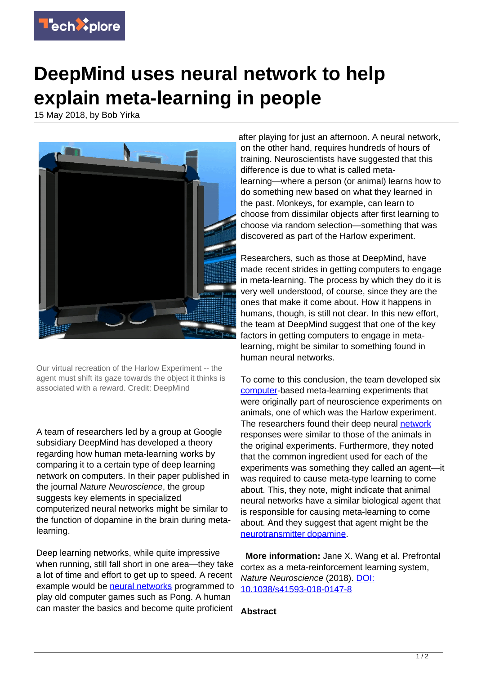

## **DeepMind uses neural network to help explain meta-learning in people**

15 May 2018, by Bob Yirka



Our virtual recreation of the Harlow Experiment -- the agent must shift its gaze towards the object it thinks is associated with a reward. Credit: DeepMind

A team of researchers led by a group at Google subsidiary DeepMind has developed a theory regarding how human meta-learning works by comparing it to a certain type of deep learning network on computers. In their paper published in the journal Nature Neuroscience, the group suggests key elements in specialized computerized neural networks might be similar to the function of dopamine in the brain during metalearning.

Deep learning networks, while quite impressive when running, still fall short in one area—they take a lot of time and effort to get up to speed. A recent example would be [neural networks](https://techxplore.com/tags/neural+networks/) programmed to play old computer games such as Pong. A human can master the basics and become quite proficient

after playing for just an afternoon. A neural network, on the other hand, requires hundreds of hours of training. Neuroscientists have suggested that this difference is due to what is called metalearning—where a person (or animal) learns how to do something new based on what they learned in the past. Monkeys, for example, can learn to choose from dissimilar objects after first learning to choose via random selection—something that was discovered as part of the Harlow experiment.

Researchers, such as those at DeepMind, have made recent strides in getting computers to engage in meta-learning. The process by which they do it is very well understood, of course, since they are the ones that make it come about. How it happens in humans, though, is still not clear. In this new effort, the team at DeepMind suggest that one of the key factors in getting computers to engage in metalearning, might be similar to something found in human neural networks.

To come to this conclusion, the team developed six [computer](https://techxplore.com/tags/computer/)-based meta-learning experiments that were originally part of neuroscience experiments on animals, one of which was the Harlow experiment. The researchers found their deep neural [network](https://techxplore.com/tags/network/) responses were similar to those of the animals in the original experiments. Furthermore, they noted that the common ingredient used for each of the experiments was something they called an agent—it was required to cause meta-type learning to come about. This, they note, might indicate that animal neural networks have a similar biological agent that is responsible for causing meta-learning to come about. And they suggest that agent might be the [neurotransmitter dopamine.](https://techxplore.com/tags/neurotransmitter+dopamine/)

 **More information:** Jane X. Wang et al. Prefrontal cortex as a meta-reinforcement learning system, Nature Neuroscience (2018). [DOI:](http://dx.doi.org/10.1038/s41593-018-0147-8) [10.1038/s41593-018-0147-8](http://dx.doi.org/10.1038/s41593-018-0147-8)

## **Abstract**